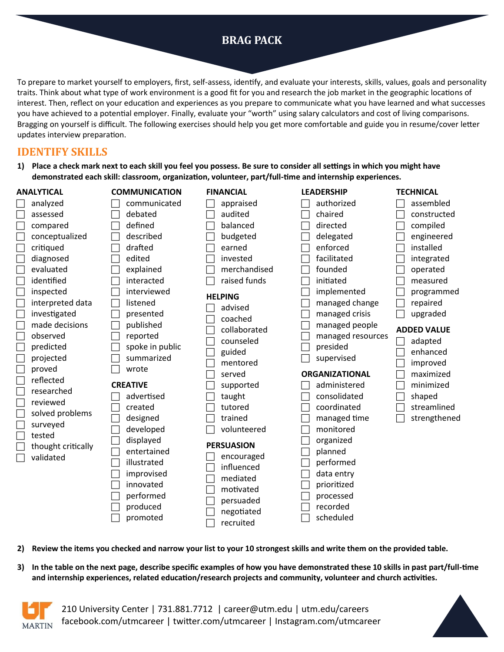# **BRAG PACK**

To prepare to market yourself to employers, first, self-assess, identify, and evaluate your interests, skills, values, goals and personality traits. Think about what type of work environment is a good fit for you and research the job market in the geographic locations of interest. Then, reflect on your education and experiences as you prepare to communicate what you have learned and what successes you have achieved to a potential employer. Finally, evaluate your "worth" using salary calculators and cost of living comparisons. Bragging on yourself is difficult. The following exercises should help you get more comfortable and guide you in resume/cover letter updates interview preparation.

### **IDENTIFY SKILLS**

**1) Place a check mark next to each skill you feel you possess. Be sure to consider all settings in which you might have demonstrated each skill: classroom, organization, volunteer, part/full-time and internship experiences.** 

### **ANALYTICAL**

| analyzed           |
|--------------------|
| assessed           |
| compared           |
| conceptualized     |
| critiqued          |
| diagnosed          |
| evaluated          |
| identified         |
| inspected          |
| interpreted data   |
| investigated       |
| made decisions     |
| observed           |
| predicted          |
| projected          |
| proved             |
| reflected          |
| researched         |
| reviewed           |
| solved problems    |
| surveyed           |
| tested             |
| thought critically |
| validated          |
|                    |

 $\Box$  communicated debated  $\Box$  defined  $\Box$  described  $\Box$  drafted  $\Box$  edited  $\Box$  explained  $\Box$  interacted  $\Box$  interviewed  $\Box$  listened  $\Box$  presented  $\Box$  published  $\Box$  reported  $\Box$  spoke in public  $\Box$  summarized wrote **CREATIVE**   $\Box$  advertised  $\Box$  created  $\Box$  designed

**COMMUNICATION** 

 $\Box$  developed  $\Box$  displayed

 $\Box$  entertained  $\Box$  illustrated

 $\Box$  improvised  $\Box$  innovated

performed

 $\Box$  produced

promoted

**FINANCIAL** 

 $\Box$  appraised  $\Box$  audited  $\Box$  balanced

 $\Box$  budgeted  $\Box$  earned

 $\Box$  invested

 $\Box$  merchandised

 $\Box$  raised funds

### **HELPING**

 $\Box$  advised

- $\Box$  coached  $\Box$  collaborated
- $\Box$  counseled
- $\Box$  guided
- $\Box$  mentored
- $\Box$  served
- $\Box$  supported
- $\Box$  taught
- $\Box$  tutored
- trained  $\Box$  volunteered

### **PERSUASION**

 $\Box$  encouraged  $\Box$  influenced mediated motivated persuaded negotiated

| directed          | compiled     |
|-------------------|--------------|
| delegated         | engineered   |
| enforced          | installed    |
| facilitated       | integrated   |
| founded           | operated     |
| initiated         | measured     |
| implemented       | programmed   |
| managed change    | repaired     |
| managed crisis    | upgraded     |
| managed people    | ADDED VALUE  |
| managed resources | adapted      |
| presided          | enhanced     |
| supervised        | improved     |
| ORGANIZATIONAL    | maximized    |
| administered      | minimized    |
| consolidated      | shaped       |
| coordinated       | streamlined  |
| managed time      | strengthened |
| monitored         |              |
| organized         |              |
| planned           |              |
| performed         |              |
| data entry        |              |
| prioritized       |              |
| processed         |              |
|                   |              |
| recorded          |              |

**LEADERSHIP** 

 authorized chaired

**TECHNICAL**   $\Box$  assembled constructed

**2) Review the items you checked and narrow your list to your 10 strongest skills and write them on the provided table.**

recruited

**3) In the table on the next page, describe specific examples of how you have demonstrated these 10 skills in past part/full-time and internship experiences, related education/research projects and community, volunteer and church activities.** 



210 University Center | 731.881.7712 | career@utm.edu | utm.edu/careers facebook.com/utmcareer | twitter.com/utmcareer | Instagram.com/utmcareer

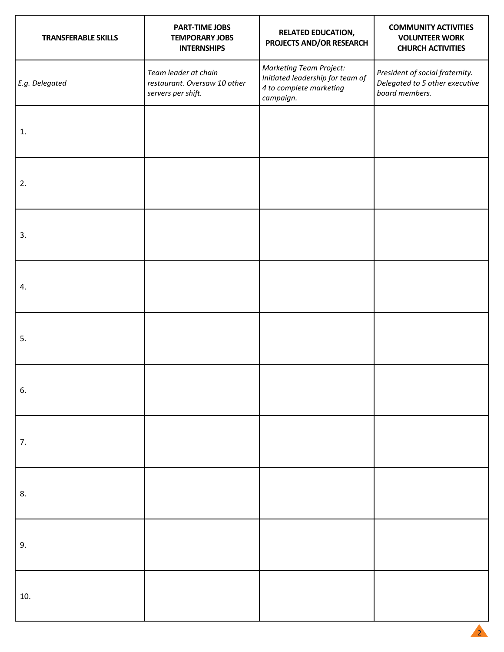| <b>TRANSFERABLE SKILLS</b> | <b>PART-TIME JOBS</b><br><b>TEMPORARY JOBS</b><br><b>INTERNSHIPS</b>       | <b>RELATED EDUCATION,</b><br>PROJECTS AND/OR RESEARCH                                                      | <b>COMMUNITY ACTIVITIES</b><br><b>VOLUNTEER WORK</b><br><b>CHURCH ACTIVITIES</b>    |
|----------------------------|----------------------------------------------------------------------------|------------------------------------------------------------------------------------------------------------|-------------------------------------------------------------------------------------|
| E.g. Delegated             | Team leader at chain<br>restaurant. Oversaw 10 other<br>servers per shift. | <b>Marketing Team Project:</b><br>Initiated leadership for team of<br>4 to complete marketing<br>campaign. | President of social fraternity.<br>Delegated to 5 other executive<br>board members. |
| 1.                         |                                                                            |                                                                                                            |                                                                                     |
| 2.                         |                                                                            |                                                                                                            |                                                                                     |
| 3.                         |                                                                            |                                                                                                            |                                                                                     |
| 4.                         |                                                                            |                                                                                                            |                                                                                     |
| 5.                         |                                                                            |                                                                                                            |                                                                                     |
| 6.                         |                                                                            |                                                                                                            |                                                                                     |
| 7.                         |                                                                            |                                                                                                            |                                                                                     |
| 8.                         |                                                                            |                                                                                                            |                                                                                     |
| 9.                         |                                                                            |                                                                                                            |                                                                                     |
| 10.                        |                                                                            |                                                                                                            |                                                                                     |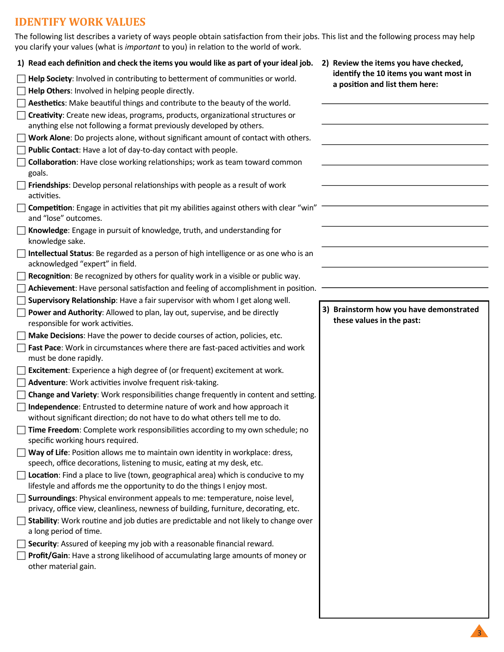## **IDENTIFY WORK VALUES**

| The following list describes a variety of ways people obtain satisfaction from their jobs. This list and the following process may help<br>you clarify your values (what is important to you) in relation to the world of work. |                                                                          |
|---------------------------------------------------------------------------------------------------------------------------------------------------------------------------------------------------------------------------------|--------------------------------------------------------------------------|
| 1) Read each definition and check the items you would like as part of your ideal job.                                                                                                                                           | 2) Review the items you have checked,                                    |
| Help Society: Involved in contributing to betterment of communities or world.<br>Help Others: Involved in helping people directly.                                                                                              | identify the 10 items you want most in<br>a position and list them here: |
| Aesthetics: Make beautiful things and contribute to the beauty of the world.                                                                                                                                                    |                                                                          |
| Creativity: Create new ideas, programs, products, organizational structures or<br>anything else not following a format previously developed by others.                                                                          |                                                                          |
| Work Alone: Do projects alone, without significant amount of contact with others.                                                                                                                                               |                                                                          |
| Public Contact: Have a lot of day-to-day contact with people.                                                                                                                                                                   |                                                                          |
| Collaboration: Have close working relationships; work as team toward common<br>goals.                                                                                                                                           |                                                                          |
| Friendships: Develop personal relationships with people as a result of work<br>activities.                                                                                                                                      |                                                                          |
| Competition: Engage in activities that pit my abilities against others with clear "win"<br>and "lose" outcomes.                                                                                                                 |                                                                          |
| Knowledge: Engage in pursuit of knowledge, truth, and understanding for<br>knowledge sake.                                                                                                                                      |                                                                          |
| Intellectual Status: Be regarded as a person of high intelligence or as one who is an<br>acknowledged "expert" in field.                                                                                                        |                                                                          |
| Recognition: Be recognized by others for quality work in a visible or public way.                                                                                                                                               |                                                                          |
| Achievement: Have personal satisfaction and feeling of accomplishment in position.                                                                                                                                              |                                                                          |
| Supervisory Relationship: Have a fair supervisor with whom I get along well.                                                                                                                                                    |                                                                          |
| Power and Authority: Allowed to plan, lay out, supervise, and be directly<br>responsible for work activities.                                                                                                                   | 3) Brainstorm how you have demonstrated<br>these values in the past:     |
| Make Decisions: Have the power to decide courses of action, policies, etc.                                                                                                                                                      |                                                                          |
| Fast Pace: Work in circumstances where there are fast-paced activities and work<br>must be done rapidly.                                                                                                                        |                                                                          |
| Excitement: Experience a high degree of (or frequent) excitement at work.                                                                                                                                                       |                                                                          |
| Adventure: Work activities involve frequent risk-taking.                                                                                                                                                                        |                                                                          |
| Change and Variety: Work responsibilities change frequently in content and setting.                                                                                                                                             |                                                                          |
| Independence: Entrusted to determine nature of work and how approach it<br>without significant direction; do not have to do what others tell me to do.                                                                          |                                                                          |
| Time Freedom: Complete work responsibilities according to my own schedule; no<br>specific working hours required.                                                                                                               |                                                                          |
|                                                                                                                                                                                                                                 |                                                                          |
| Way of Life: Position allows me to maintain own identity in workplace: dress,<br>speech, office decorations, listening to music, eating at my desk, etc.                                                                        |                                                                          |
| Location: Find a place to live (town, geographical area) which is conducive to my<br>lifestyle and affords me the opportunity to do the things I enjoy most.                                                                    |                                                                          |
| Surroundings: Physical environment appeals to me: temperature, noise level,<br>privacy, office view, cleanliness, newness of building, furniture, decorating, etc.                                                              |                                                                          |
| Stability: Work routine and job duties are predictable and not likely to change over<br>a long period of time.                                                                                                                  |                                                                          |
| Security: Assured of keeping my job with a reasonable financial reward.                                                                                                                                                         |                                                                          |

 $\overline{a}$ 

 $\overline{a}$